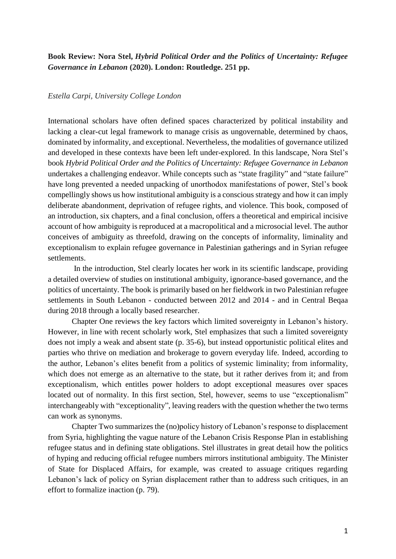**Book Review: Nora Stel,** *Hybrid Political Order and the Politics of Uncertainty: Refugee Governance in Lebanon* **(2020). London: Routledge. 251 pp.**

## *Estella Carpi, University College London*

International scholars have often defined spaces characterized by political instability and lacking a clear-cut legal framework to manage crisis as ungovernable, determined by chaos, dominated by informality, and exceptional. Nevertheless, the modalities of governance utilized and developed in these contexts have been left under-explored. In this landscape, Nora Stel's book *Hybrid Political Order and the Politics of Uncertainty: Refugee Governance in Lebanon* undertakes a challenging endeavor. While concepts such as "state fragility" and "state failure" have long prevented a needed unpacking of unorthodox manifestations of power, Stel's book compellingly shows us how institutional ambiguity is a conscious strategy and how it can imply deliberate abandonment, deprivation of refugee rights, and violence. This book, composed of an introduction, six chapters, and a final conclusion, offers a theoretical and empirical incisive account of how ambiguity is reproduced at a macropolitical and a microsocial level. The author conceives of ambiguity as threefold, drawing on the concepts of informality, liminality and exceptionalism to explain refugee governance in Palestinian gatherings and in Syrian refugee settlements.

In the introduction, Stel clearly locates her work in its scientific landscape, providing a detailed overview of studies on institutional ambiguity, ignorance-based governance, and the politics of uncertainty. The book is primarily based on her fieldwork in two Palestinian refugee settlements in South Lebanon - conducted between 2012 and 2014 - and in Central Beqaa during 2018 through a locally based researcher.

Chapter One reviews the key factors which limited sovereignty in Lebanon's history. However, in line with recent scholarly work, Stel emphasizes that such a limited sovereignty does not imply a weak and absent state (p. 35-6), but instead opportunistic political elites and parties who thrive on mediation and brokerage to govern everyday life. Indeed, according to the author, Lebanon's elites benefit from a politics of systemic liminality; from informality, which does not emerge as an alternative to the state, but it rather derives from it; and from exceptionalism, which entitles power holders to adopt exceptional measures over spaces located out of normality. In this first section, Stel, however, seems to use "exceptionalism" interchangeably with "exceptionality", leaving readers with the question whether the two terms can work as synonyms.

Chapter Two summarizes the (no)policy history of Lebanon's response to displacement from Syria, highlighting the vague nature of the Lebanon Crisis Response Plan in establishing refugee status and in defining state obligations. Stel illustrates in great detail how the politics of hyping and reducing official refugee numbers mirrors institutional ambiguity. The Minister of State for Displaced Affairs, for example, was created to assuage critiques regarding Lebanon's lack of policy on Syrian displacement rather than to address such critiques, in an effort to formalize inaction (p. 79).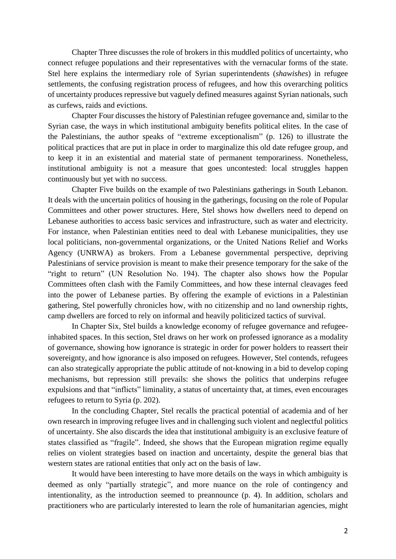Chapter Three discusses the role of brokers in this muddled politics of uncertainty, who connect refugee populations and their representatives with the vernacular forms of the state. Stel here explains the intermediary role of Syrian superintendents (*shawishes*) in refugee settlements, the confusing registration process of refugees, and how this overarching politics of uncertainty produces repressive but vaguely defined measures against Syrian nationals, such as curfews, raids and evictions.

Chapter Four discusses the history of Palestinian refugee governance and, similar to the Syrian case, the ways in which institutional ambiguity benefits political elites. In the case of the Palestinians, the author speaks of "extreme exceptionalism" (p. 126) to illustrate the political practices that are put in place in order to marginalize this old date refugee group, and to keep it in an existential and material state of permanent temporariness. Nonetheless, institutional ambiguity is not a measure that goes uncontested: local struggles happen continuously but yet with no success.

Chapter Five builds on the example of two Palestinians gatherings in South Lebanon. It deals with the uncertain politics of housing in the gatherings, focusing on the role of Popular Committees and other power structures. Here, Stel shows how dwellers need to depend on Lebanese authorities to access basic services and infrastructure, such as water and electricity. For instance, when Palestinian entities need to deal with Lebanese municipalities, they use local politicians, non-governmental organizations, or the United Nations Relief and Works Agency (UNRWA) as brokers. From a Lebanese governmental perspective, depriving Palestinians of service provision is meant to make their presence temporary for the sake of the "right to return" (UN Resolution No. 194). The chapter also shows how the Popular Committees often clash with the Family Committees, and how these internal cleavages feed into the power of Lebanese parties. By offering the example of evictions in a Palestinian gathering, Stel powerfully chronicles how, with no citizenship and no land ownership rights, camp dwellers are forced to rely on informal and heavily politicized tactics of survival.

In Chapter Six, Stel builds a knowledge economy of refugee governance and refugeeinhabited spaces. In this section, Stel draws on her work on professed ignorance as a modality of governance, showing how ignorance is strategic in order for power holders to reassert their sovereignty, and how ignorance is also imposed on refugees. However, Stel contends, refugees can also strategically appropriate the public attitude of not-knowing in a bid to develop coping mechanisms, but repression still prevails: she shows the politics that underpins refugee expulsions and that "inflicts" liminality, a status of uncertainty that, at times, even encourages refugees to return to Syria (p. 202).

In the concluding Chapter, Stel recalls the practical potential of academia and of her own research in improving refugee lives and in challenging such violent and neglectful politics of uncertainty. She also discards the idea that institutional ambiguity is an exclusive feature of states classified as "fragile". Indeed, she shows that the European migration regime equally relies on violent strategies based on inaction and uncertainty, despite the general bias that western states are rational entities that only act on the basis of law.

It would have been interesting to have more details on the ways in which ambiguity is deemed as only "partially strategic", and more nuance on the role of contingency and intentionality, as the introduction seemed to preannounce (p. 4). In addition, scholars and practitioners who are particularly interested to learn the role of humanitarian agencies, might